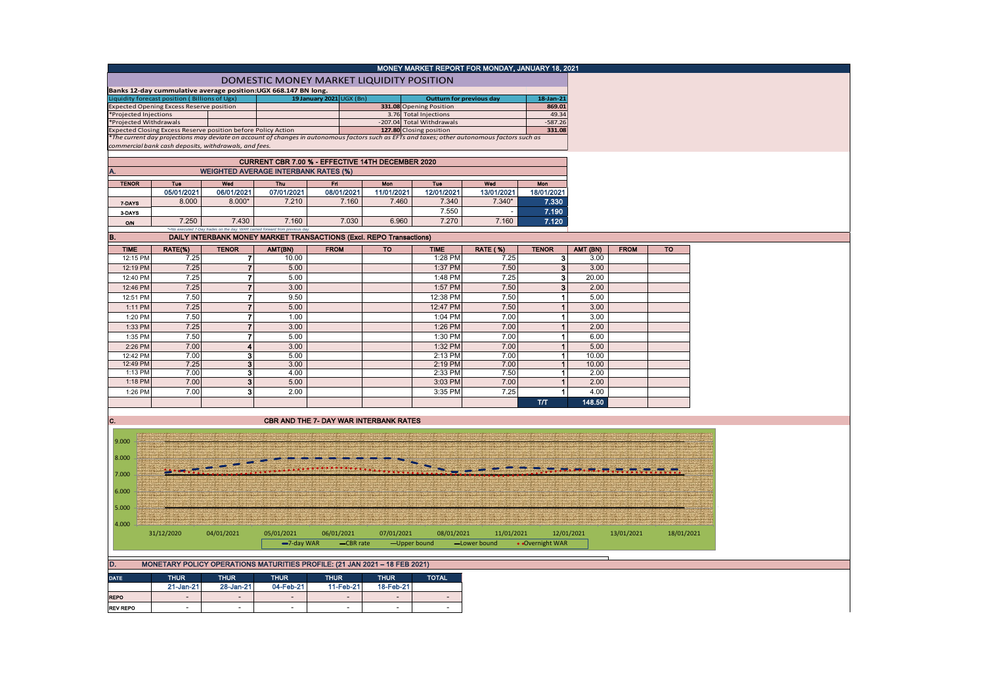|                       |                                                                |                         |                                                                              |                          |                                        | MONEY MARKET REPORT FOR MONDAY, JANUARY 18, 2021                                                                                              |                 |                                      |                |             |            |
|-----------------------|----------------------------------------------------------------|-------------------------|------------------------------------------------------------------------------|--------------------------|----------------------------------------|-----------------------------------------------------------------------------------------------------------------------------------------------|-----------------|--------------------------------------|----------------|-------------|------------|
|                       |                                                                |                         | DOMESTIC MONEY MARKET LIQUIDITY POSITION                                     |                          |                                        |                                                                                                                                               |                 |                                      |                |             |            |
|                       | Banks 12-day cummulative average position:UGX 668.147 BN long. |                         |                                                                              |                          |                                        |                                                                                                                                               |                 |                                      |                |             |            |
|                       | iquidity forecast position (Billions of Ugx)                   |                         |                                                                              | 19 January 2021 UGX (Bn) |                                        | <b>Outturn for previous day</b>                                                                                                               |                 | 18-Jan-21                            |                |             |            |
|                       | Expected Opening Excess Reserve position                       |                         |                                                                              |                          |                                        | 331.08 Opening Position                                                                                                                       |                 | 869.01                               |                |             |            |
| *Projected Injections | *Projected Withdrawals                                         |                         |                                                                              |                          |                                        | 3.76 Total Injections<br>-207.04 Total Withdrawals                                                                                            |                 | 49.34<br>$-587.26$                   |                |             |            |
|                       | Expected Closing Excess Reserve position before Policy Action  |                         |                                                                              |                          |                                        | 127.80 Closing position                                                                                                                       |                 | 331.08                               |                |             |            |
|                       |                                                                |                         |                                                                              |                          |                                        | *The current day projections may deviate on account of changes in autonomous factors such as EFTs and taxes; other autonomous factors such as |                 |                                      |                |             |            |
|                       | commercial bank cash deposits, withdrawals, and fees.          |                         |                                                                              |                          |                                        |                                                                                                                                               |                 |                                      |                |             |            |
|                       |                                                                |                         | CURRENT CBR 7.00 % - EFFECTIVE 14TH DECEMBER 2020                            |                          |                                        |                                                                                                                                               |                 |                                      |                |             |            |
|                       |                                                                |                         | <b>WEIGHTED AVERAGE INTERBANK RATES (%)</b>                                  |                          |                                        |                                                                                                                                               |                 |                                      |                |             |            |
| <b>TENOR</b>          | <b>Tue</b>                                                     | Wed                     | Thu                                                                          | Fri                      | Mon                                    | Tue                                                                                                                                           | Wed             | Mon                                  |                |             |            |
|                       | 05/01/2021                                                     | 06/01/2021              | 07/01/2021                                                                   | 08/01/2021               | 11/01/2021                             | 12/01/2021                                                                                                                                    | 13/01/2021      | 18/01/2021                           |                |             |            |
| 7-DAYS                | 8.000                                                          | $8.000*$                | 7.210                                                                        | 7.160                    | 7.460                                  | 7.340                                                                                                                                         | $7.340*$        | 7.330                                |                |             |            |
| 3-DAYS                |                                                                |                         |                                                                              |                          |                                        | 7.550                                                                                                                                         |                 | 7.190                                |                |             |            |
| O/N                   | 7.250                                                          | 7.430                   | 7.160                                                                        | 7.030                    | 6.960                                  | 7.270                                                                                                                                         | 7.160           | 7.120                                |                |             |            |
|                       |                                                                |                         | *=No executed 7-Day trades on the day. WAR carried forward from previous day |                          |                                        |                                                                                                                                               |                 |                                      |                |             |            |
| B.                    |                                                                |                         | DAILY INTERBANK MONEY MARKET TRANSACTIONS (Excl. REPO Transactions)          |                          |                                        |                                                                                                                                               |                 |                                      |                |             |            |
| <b>TIME</b>           | RATE(%)                                                        | <b>TENOR</b>            | AMT(BN)                                                                      | <b>FROM</b>              | <b>TO</b>                              | <b>TIME</b>                                                                                                                                   | <b>RATE (%)</b> | <b>TENOR</b>                         | AMT (BN)       | <b>FROM</b> | <b>TO</b>  |
| 12:15 PM              | 7.25                                                           | 7                       | 10.00                                                                        |                          |                                        | 1:28 PM                                                                                                                                       | 7.25            | 3 <sup>1</sup>                       | 3.00           |             |            |
| 12:19 PM              | 7.25                                                           | $\overline{7}$          | 5.00                                                                         |                          |                                        | 1:37 PM                                                                                                                                       | 7.50            | 3 <sup>1</sup>                       | 3.00           |             |            |
| 12:40 PM              | 7.25                                                           | 7                       | 5.00                                                                         |                          |                                        | 1:48 PM                                                                                                                                       | 7.25            | 3                                    | 20.00          |             |            |
| 12:46 PM              | 7.25                                                           | $\overline{7}$          | 3.00                                                                         |                          |                                        | 1:57 PM                                                                                                                                       | 7.50            | $\mathbf{3}$                         | 2.00           |             |            |
| 12:51 PM              | 7.50                                                           |                         | 9.50                                                                         |                          |                                        | 12:38 PM                                                                                                                                      | 7.50            | $\mathbf{1}$                         | 5.00           |             |            |
| 1:11 PM               | 7.25                                                           | $\overline{7}$          | 5.00                                                                         |                          |                                        | 12:47 PM                                                                                                                                      | 7.50            | $\mathbf{1}$                         | 3.00           |             |            |
| 1:20 PM               | 7.50                                                           | $\boldsymbol{7}$        | 1.00                                                                         |                          |                                        | 1:04 PM                                                                                                                                       | 7.00            | $\mathbf{1}$                         | 3.00           |             |            |
| 1:33 PM               | 7.25                                                           | $\overline{7}$          | 3.00                                                                         |                          |                                        | 1:26 PM                                                                                                                                       | 7.00            | $\mathbf{1}$                         | 2.00           |             |            |
| 1:35 PM               | 7.50                                                           | 7                       | 5.00                                                                         |                          |                                        | 1:30 PM                                                                                                                                       | 7.00            | $\blacktriangleleft$                 | 6.00           |             |            |
| 2:26 PM               | 7.00                                                           | $\overline{\mathbf{4}}$ | 3.00                                                                         |                          |                                        | 1:32 PM                                                                                                                                       | 7.00            | $\mathbf{1}$                         | 5.00           |             |            |
| 12:42 PM<br>12:49 PM  | 7.00<br>7.25                                                   | 3<br>3                  | 5.00<br>3.00                                                                 |                          |                                        | 2:13 PM<br>2:19 PM                                                                                                                            | 7.00<br>7.00    | $\blacktriangleleft$<br>$\mathbf{1}$ | 10.00<br>10.00 |             |            |
| 1:13 PM               | 7.00                                                           | 3 <sup>1</sup>          | 4.00                                                                         |                          |                                        | 2:33 PM                                                                                                                                       | 7.50            | $\blacktriangleleft$                 | 2.00           |             |            |
| 1:18 PM               | 7.00                                                           | $\bf{3}$                | 5.00                                                                         |                          |                                        | 3:03 PM                                                                                                                                       | 7.00            |                                      | 2.00           |             |            |
| 1:26 PM               | 7.00                                                           | 3                       | 2.00                                                                         |                          |                                        | 3:35 PM                                                                                                                                       | 7.25            | $\mathbf{1}$                         | 4.00           |             |            |
|                       |                                                                |                         |                                                                              |                          |                                        |                                                                                                                                               |                 | T/T                                  | 148.50         |             |            |
|                       |                                                                |                         |                                                                              |                          |                                        |                                                                                                                                               |                 |                                      |                |             |            |
| IC.                   |                                                                |                         |                                                                              |                          | CBR AND THE 7- DAY WAR INTERBANK RATES |                                                                                                                                               |                 |                                      |                |             |            |
|                       |                                                                |                         |                                                                              |                          |                                        |                                                                                                                                               |                 |                                      |                |             |            |
| 9.000                 |                                                                |                         |                                                                              |                          |                                        |                                                                                                                                               |                 |                                      |                |             |            |
|                       |                                                                |                         |                                                                              |                          |                                        |                                                                                                                                               |                 |                                      |                |             |            |
| 8.000                 |                                                                |                         |                                                                              |                          |                                        |                                                                                                                                               |                 |                                      |                |             |            |
| 7.000                 |                                                                |                         |                                                                              |                          |                                        |                                                                                                                                               |                 |                                      |                |             |            |
|                       |                                                                |                         |                                                                              |                          |                                        |                                                                                                                                               |                 |                                      |                |             |            |
| 6.000                 |                                                                |                         |                                                                              |                          |                                        |                                                                                                                                               |                 |                                      |                |             |            |
|                       |                                                                |                         |                                                                              |                          |                                        |                                                                                                                                               |                 |                                      |                |             |            |
| 5.000                 |                                                                |                         |                                                                              |                          |                                        |                                                                                                                                               |                 |                                      |                |             |            |
| 4.000                 |                                                                |                         |                                                                              |                          |                                        |                                                                                                                                               |                 |                                      |                |             |            |
|                       | 31/12/2020                                                     | 04/01/2021              | 05/01/2021                                                                   | 06/01/2021               | 07/01/2021                             | 08/01/2021                                                                                                                                    | 11/01/2021      |                                      | 12/01/2021     | 13/01/2021  | 18/01/2021 |
|                       |                                                                |                         | -7-day WAR                                                                   |                          | -CBR rate                              | -Upper bound                                                                                                                                  | -Lower bound    | • Overnight WAR                      |                |             |            |
|                       |                                                                |                         |                                                                              |                          |                                        |                                                                                                                                               |                 |                                      |                |             |            |

| <b>MONETARY POLICY OPERATIONS MATURITIES PROFILE: (21 JAN 2021 - 18 FEB 2021)</b> |                                                                           |                          |                          |                          |                          |        |  |  |  |  |  |  |  |
|-----------------------------------------------------------------------------------|---------------------------------------------------------------------------|--------------------------|--------------------------|--------------------------|--------------------------|--------|--|--|--|--|--|--|--|
| <b>DATE</b>                                                                       | <b>THUR</b><br>THUR<br><b>THUR</b><br><b>THUR</b><br>THUR<br><b>TOTAL</b> |                          |                          |                          |                          |        |  |  |  |  |  |  |  |
|                                                                                   | $21$ -Jan-21                                                              | 28-Jan-21                | 04-Feb-21                | 11-Feb-21                | 18-Feb-21                |        |  |  |  |  |  |  |  |
| <b>REPO</b>                                                                       |                                                                           | $\overline{\phantom{0}}$ | $\overline{\phantom{0}}$ | $\overline{\phantom{0}}$ | $\sim$                   | $\sim$ |  |  |  |  |  |  |  |
| <b>REV REPO</b>                                                                   |                                                                           | -                        |                          | -                        | $\overline{\phantom{a}}$ |        |  |  |  |  |  |  |  |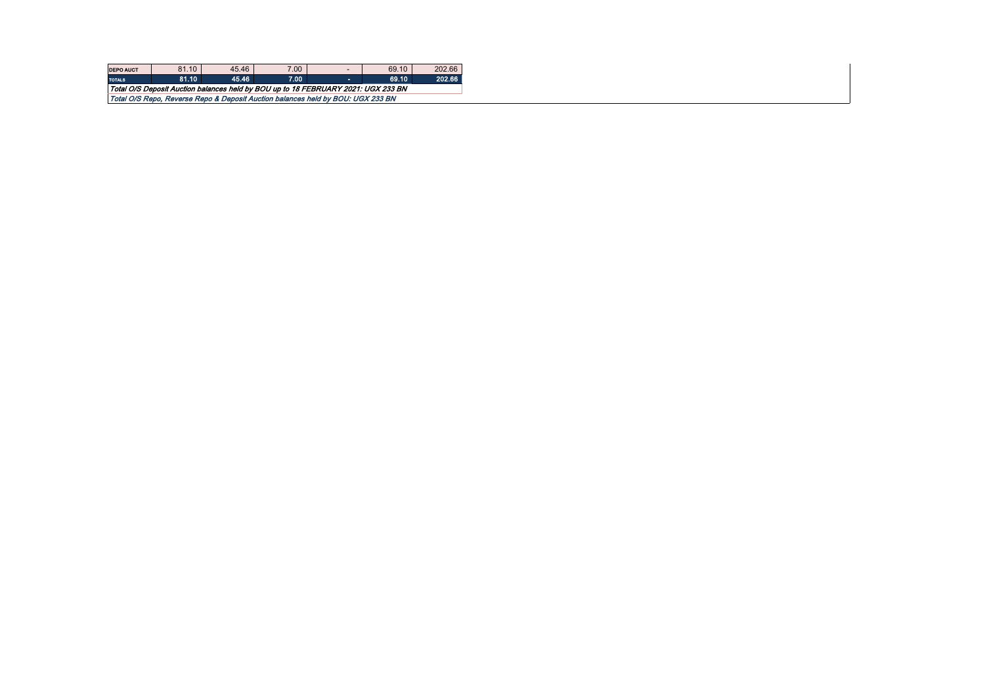| <b>DEPO AUCT</b>                                                                  | 81.10                                                                           | 45.46 | 7.00 | $\overline{\phantom{a}}$ | 69.10 | 202.66 |  |  |  |  |  |  |
|-----------------------------------------------------------------------------------|---------------------------------------------------------------------------------|-------|------|--------------------------|-------|--------|--|--|--|--|--|--|
| <b>TOTALS</b>                                                                     | 81.10                                                                           | 45.46 | 7.00 |                          | 69.10 | 202.66 |  |  |  |  |  |  |
| Total O/S Deposit Auction balances held by BOU up to 18 FEBRUARY 2021: UGX 233 BN |                                                                                 |       |      |                          |       |        |  |  |  |  |  |  |
|                                                                                   | Total O/S Repo. Reverse Repo & Deposit Auction balances held by BOU: UGX 233 BN |       |      |                          |       |        |  |  |  |  |  |  |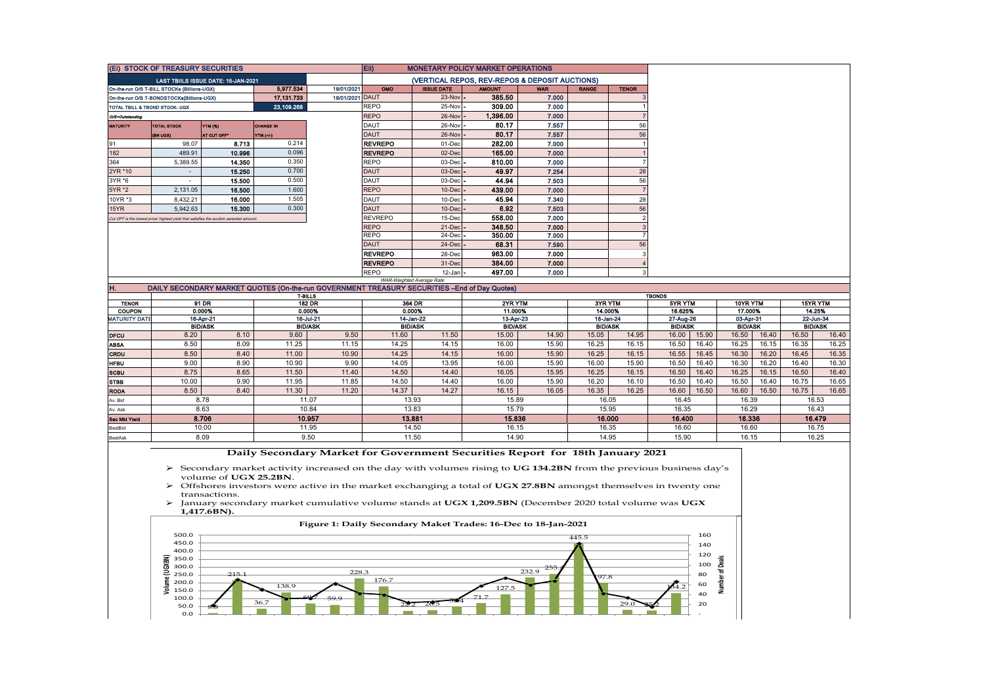|                 | (Ei) STOCK OF TREASURY SECURITIES                                                     |                                     |                  |                 | Eii)                                           |                           | <b>MONETARY POLICY MARKET OPERATIONS</b>                                                     |            |              |              |  |
|-----------------|---------------------------------------------------------------------------------------|-------------------------------------|------------------|-----------------|------------------------------------------------|---------------------------|----------------------------------------------------------------------------------------------|------------|--------------|--------------|--|
|                 |                                                                                       | LAST TBIILS ISSUE DATE: 15-JAN-2021 |                  |                 | (VERTICAL REPOS, REV-REPOS & DEPOSIT AUCTIONS) |                           |                                                                                              |            |              |              |  |
|                 | On-the-run O/S T-BILL STOCKs (Billions-UGX)                                           |                                     | 5 977 534        | 19/01/2021      | <b>OMO</b>                                     | <b>ISSUE DATE</b>         | <b>AMOUNT</b>                                                                                | <b>WAR</b> | <b>RANGE</b> | <b>TENOR</b> |  |
|                 | On-the-run O/S T-BONDSTOCKs(Billions-UGX)                                             |                                     | 17.131.733       | 19/01/2021 DAUT |                                                | $23-Nov$ -                | 385.50                                                                                       | 7.000      |              |              |  |
|                 | TOTAL TBILL & TBOND STOCK- UGX                                                        |                                     | 23,109.268       |                 | REPO                                           | 25-Nov -                  | 309.00                                                                                       | 7.000      |              |              |  |
| O/S=Outstanding |                                                                                       |                                     |                  |                 | <b>REPO</b>                                    | 26-Nov -                  | 1,396.00                                                                                     | 7.000      |              |              |  |
| <b>MATURITY</b> | <b>TOTAL STOCK</b>                                                                    | <b>YTM (%)</b>                      | <b>CHANGE IN</b> |                 | DAUT                                           | 26-Nov -                  | 80.17                                                                                        | 7.557      |              | 56           |  |
|                 | (BN UQX)                                                                              | AT CUT OFF*                         | YTM (+/-)        |                 | <b>DAUT</b>                                    | 26-Nov -                  | 80.17                                                                                        | 7.557      |              | 56           |  |
| 91              | 98.07                                                                                 | 8.713                               | 0.214            |                 | <b>REVREPO</b>                                 | 01-Dec                    | 282.00                                                                                       | 7.000      |              |              |  |
| 182             | 489.91                                                                                | 10.996                              | 0.096            |                 | <b>REVREPO</b>                                 | 02-Dec                    | 165.00                                                                                       | 7.000      |              |              |  |
| 364             | 5,389.55                                                                              | 14.350                              | 0.350            |                 | <b>REPO</b>                                    | $03$ -Dec $\vert$ -       | 810.00                                                                                       | 7.000      |              |              |  |
| 2YR *10         | $\sim$                                                                                | 15.250                              | 0.700            |                 | <b>DAUT</b>                                    | $03$ -Dec $\vert$ -       | 49.97                                                                                        | 7.254      |              | 28           |  |
| 3YR *6          |                                                                                       | 15.500                              | 0.500            |                 | DAUT                                           | $03$ -Dec $-$             | 44.94                                                                                        | 7.503      |              | 56           |  |
| 5YR *2          | 2.131.05                                                                              | 16.500                              | 1.600            |                 | <b>REPO</b>                                    | $10$ -Dec $\vert \cdot$   | 439.00                                                                                       | 7.000      |              |              |  |
| 10YR *3         | 8.432.21                                                                              | 16.000                              | 1.505            |                 | DAUT                                           | $10$ -Dec $-$             | 45.94                                                                                        | 7.340      |              | 28           |  |
| 15YR            | 5.942.63                                                                              | 15.300                              | 0.300            |                 | <b>DAUT</b>                                    | $10$ -Dec $\cdot$         | 6.92                                                                                         | 7.503      |              | 56           |  |
|                 | Cut OFF is the lowest price/ highest yield that satisfies the auction awarded amount. |                                     |                  |                 | <b>REVREPO</b>                                 | 15-Dec                    | 558.00                                                                                       | 7.000      |              |              |  |
|                 |                                                                                       |                                     |                  |                 | <b>REPO</b>                                    | $21$ -Dec $\vert$ -       | 348.50                                                                                       | 7.000      |              |              |  |
|                 |                                                                                       |                                     |                  |                 | <b>REPO</b>                                    | 24-Dec -                  | 350.00                                                                                       | 7.000      |              |              |  |
|                 |                                                                                       |                                     |                  |                 | <b>DAUT</b>                                    | $24$ -Dec $\vert$ -       | 68.31                                                                                        | 7.590      |              | 56           |  |
|                 |                                                                                       |                                     |                  |                 | <b>REVREPO</b>                                 | 28-Dec                    | 963.00                                                                                       | 7.000      |              |              |  |
|                 |                                                                                       |                                     |                  |                 | <b>REVREPO</b>                                 | 31-Dec                    | 384.00                                                                                       | 7.000      |              |              |  |
|                 | 497.00<br><b>REPO</b><br>7.000<br>$12$ -Jan $-$                                       |                                     |                  |                 |                                                |                           |                                                                                              |            |              |              |  |
|                 |                                                                                       |                                     |                  |                 |                                                | WAR-Weighted Average Rate |                                                                                              |            |              |              |  |
| Η.              |                                                                                       |                                     |                  |                 |                                                |                           | DAILY SECONDARY MARKET QUOTES (On-the-run GOVERNMENT TREASURY SECURITIES -End of Day Quotes) |            |              |              |  |

|                      |                |           |                  | <b>T-BILLS</b> | <b>TBONDS</b>  |        |                |        |                |        |                |        |                |        |                |       |
|----------------------|----------------|-----------|------------------|----------------|----------------|--------|----------------|--------|----------------|--------|----------------|--------|----------------|--------|----------------|-------|
| <b>TENOR</b>         |                | 91 DR     | <b>182 DR</b>    |                | 364 DR         |        | 2YR YTM        |        | 3YR YTM        |        | 5YR YTM        |        | 10YR YTM       |        | 15YR YTM       |       |
| <b>COUPON</b>        |                | 0.000%    |                  | 0.000%         | 0.000%         |        | 11.000%        |        | 14.000%        |        | 16.625%        |        | 17.000%        |        | 14.25%         |       |
| <b>MATURITY DATE</b> |                | 16-Apr-21 |                  | 16-Jul-21      | 14-Jan-22      |        | 13-Apr-23      |        | 18-Jan-24      |        | 27-Aug-26      |        | 03-Apr-31      |        | 22-Jun-34      |       |
|                      | <b>BID/ASK</b> |           | <b>BID/ASK</b>   |                | <b>BID/ASK</b> |        | <b>BID/ASK</b> |        | <b>BID/ASK</b> |        | <b>BID/ASK</b> |        | <b>BID/ASK</b> |        | <b>BID/ASK</b> |       |
| <b>DFCU</b>          | 8.20           | 8.10      | 9.60             | 9.50           | 11.60          | 11.50  | 15.00          | 14.90  | 15.05          | 14.95  | 16.00          | 15.90  | 16.50          | 16.40  | 16.50          | 16.40 |
| <b>ABSA</b>          | 8.50           | 8.09      | 11.25            | 11.15          | 14.25          | 14.15  | 16.00          | 15.90  | 16.25          | 16.15  | 16.50          | 16.40  | 16.25          | 16.15  | 16.35          | 16.25 |
| CRDU                 | 8.50           | 8.40      | 11.00            | 10.90          | 14.25          | 14.15  | 16.00          | 15.90  | 16.25          | 16.15  | 16.55          | 16.45  | 16.30          | 16.20  | 16.45          | 16.35 |
| <b>HFBU</b>          | 9.00           | 8.90      | 10.90            | 9.90           | 14.05          | 13.95  | 16.00          | 15.90  | 16.00          | 15.90  | 16.50          | 16.40  | 16.30          | 16.20  | 16.40          | 16.30 |
| <b>SCBU</b>          | 8.75           | 8.65      | 11.50            | 11.40          | 14.50          | 14.40  | 16.05          | 15.95  | 16.25          | 16.15  | 16.50          | 16.40  | 16.25          | 16.15  | 16.50          | 16.40 |
| <b>STBB</b>          | 10.00          | 9.90      | 11.95            | 11.85          | 14.50          | 14.40  | 16.00          | 15.90  | 16.20          | 16.10  | 16.50          | 16.40  | 16.50          | 16.40  | 16.75          | 16.65 |
| <b>RODA</b>          | 8.50           | 8.40      | 11.30            | 11.20          | 14.37          | 14.27  | 16.15          | 16.05  | 16.35          | 16.25  | 16.60          | 16.50  | 16.60          | 16.50  | 16.75          | 16.65 |
| Av. Bid              |                | 8.78      | 11.07            |                | 13.93          |        | 15.89          |        | 16.05          |        | 16.45          |        | 16.39          |        | 16.53          |       |
| Av. Ask              | 8.63           |           | 10.84            |                | 13.83          |        | 15.79          |        | 15.95          |        | 16.35          |        | 16.29          |        | 16.43          |       |
| <b>Sec Mkt Yield</b> | 8.706          |           | 10.957<br>13,881 |                |                | 15.836 |                | 16.000 |                | 16.400 |                | 16.336 |                | 16.479 |                |       |
| BestBid              | 10.00          |           |                  | 11.95<br>14.50 |                |        | 16.15          |        | 16.35          |        | 16.60          |        | 16.60          |        | 16.75          |       |
| BestAsk              | 8.09           |           |                  | 9.50           | 11.50          |        | 14.90          |        | 14.95          |        | 15.90          |        | 16.15          |        | 16.25          |       |

 **Daily Secondary Market for Government Securities Report for 18th January 2021**

 Secondary market activity increased on the day with volumes rising to **UG 134.2BN** from the previous business day's volume of **UGX 25.2BN**.

 Offshores investors were active in the market exchanging a total of **UGX 27.8BN** amongst themselves in twenty one transactions.

 January secondary market cumulative volume stands at **UGX 1,209.5BN** (December 2020 total volume was **UGX 1,417.6BN).**